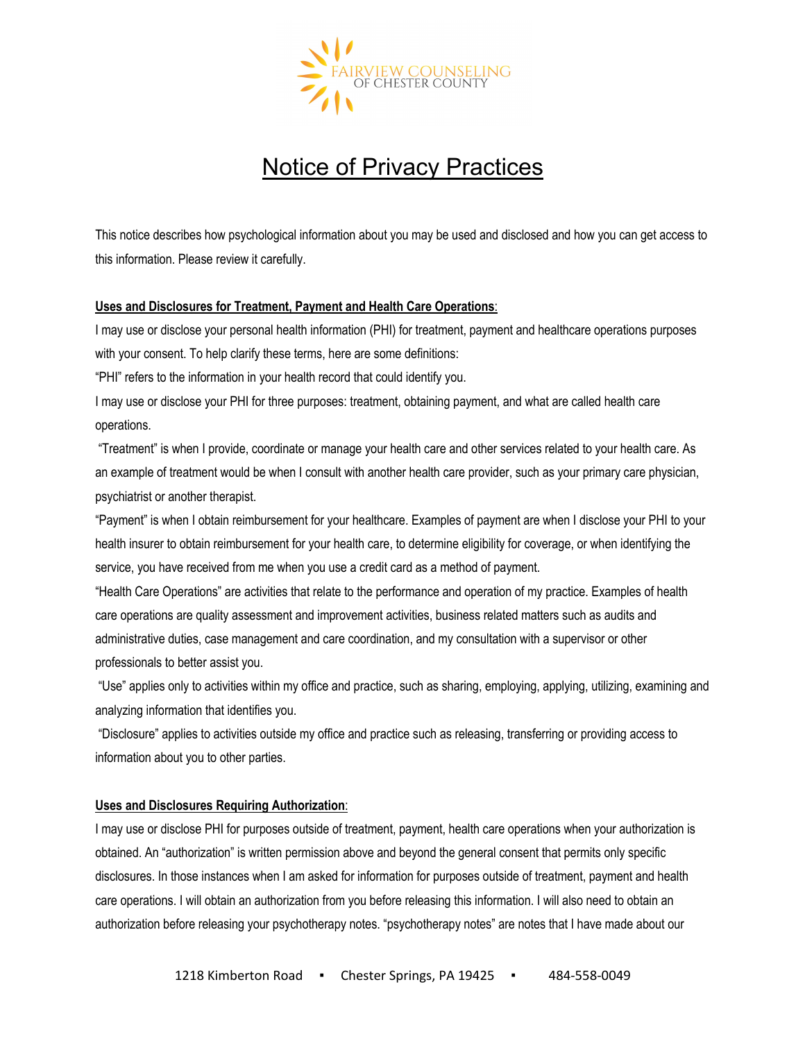

# Notice of Privacy Practices

This notice describes how psychological information about you may be used and disclosed and how you can get access to this information. Please review it carefully.

# **Uses and Disclosures for Treatment, Payment and Health Care Operations**:

I may use or disclose your personal health information (PHI) for treatment, payment and healthcare operations purposes with your consent. To help clarify these terms, here are some definitions:

"PHI" refers to the information in your health record that could identify you.

I may use or disclose your PHI for three purposes: treatment, obtaining payment, and what are called health care operations.

"Treatment" is when I provide, coordinate or manage your health care and other services related to your health care. As an example of treatment would be when I consult with another health care provider, such as your primary care physician, psychiatrist or another therapist.

"Payment" is when I obtain reimbursement for your healthcare. Examples of payment are when I disclose your PHI to your health insurer to obtain reimbursement for your health care, to determine eligibility for coverage, or when identifying the service, you have received from me when you use a credit card as a method of payment.

"Health Care Operations" are activities that relate to the performance and operation of my practice. Examples of health care operations are quality assessment and improvement activities, business related matters such as audits and administrative duties, case management and care coordination, and my consultation with a supervisor or other professionals to better assist you.

"Use" applies only to activities within my office and practice, such as sharing, employing, applying, utilizing, examining and analyzing information that identifies you.

"Disclosure" applies to activities outside my office and practice such as releasing, transferring or providing access to information about you to other parties.

# **Uses and Disclosures Requiring Authorization**:

I may use or disclose PHI for purposes outside of treatment, payment, health care operations when your authorization is obtained. An "authorization" is written permission above and beyond the general consent that permits only specific disclosures. In those instances when I am asked for information for purposes outside of treatment, payment and health care operations. I will obtain an authorization from you before releasing this information. I will also need to obtain an authorization before releasing your psychotherapy notes. "psychotherapy notes" are notes that I have made about our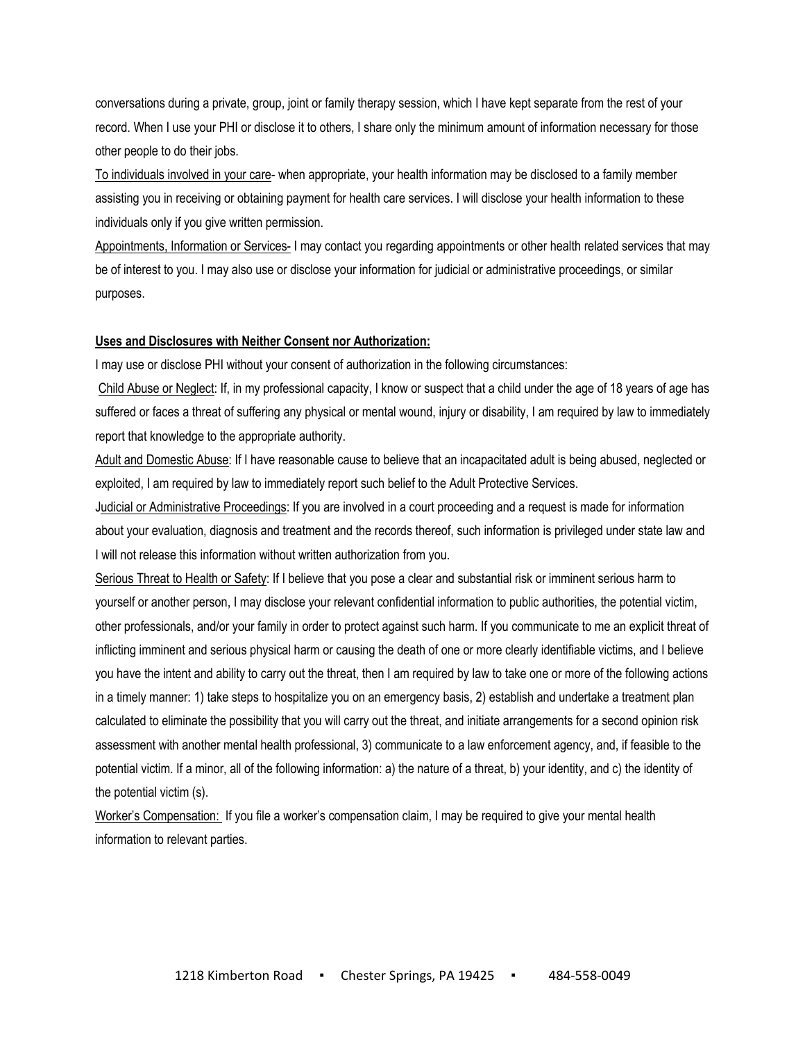conversations during a private, group, joint or family therapy session, which I have kept separate from the rest of your record. When I use your PHI or disclose it to others, I share only the minimum amount of information necessary for those other people to do their jobs.

To individuals involved in your care- when appropriate, your health information may be disclosed to a family member assisting you in receiving or obtaining payment for health care services. I will disclose your health information to these individuals only if you give written permission.

Appointments, Information or Services- I may contact you regarding appointments or other health related services that may be of interest to you. I may also use or disclose your information for judicial or administrative proceedings, or similar purposes.

#### **Uses and Disclosures with Neither Consent nor Authorization:**

I may use or disclose PHI without your consent of authorization in the following circumstances:

Child Abuse or Neglect: If, in my professional capacity, I know or suspect that a child under the age of 18 years of age has suffered or faces a threat of suffering any physical or mental wound, injury or disability, I am required by law to immediately report that knowledge to the appropriate authority.

Adult and Domestic Abuse: If I have reasonable cause to believe that an incapacitated adult is being abused, neglected or exploited, I am required by law to immediately report such belief to the Adult Protective Services.

Judicial or Administrative Proceedings: If you are involved in a court proceeding and a request is made for information about your evaluation, diagnosis and treatment and the records thereof, such information is privileged under state law and I will not release this information without written authorization from you.

Serious Threat to Health or Safety: If I believe that you pose a clear and substantial risk or imminent serious harm to yourself or another person, I may disclose your relevant confidential information to public authorities, the potential victim, other professionals, and/or your family in order to protect against such harm. If you communicate to me an explicit threat of inflicting imminent and serious physical harm or causing the death of one or more clearly identifiable victims, and I believe you have the intent and ability to carry out the threat, then I am required by law to take one or more of the following actions in a timely manner: 1) take steps to hospitalize you on an emergency basis, 2) establish and undertake a treatment plan calculated to eliminate the possibility that you will carry out the threat, and initiate arrangements for a second opinion risk assessment with another mental health professional, 3) communicate to a law enforcement agency, and, if feasible to the potential victim. If a minor, all of the following information: a) the nature of a threat, b) your identity, and c) the identity of the potential victim (s).

Worker's Compensation: If you file a worker's compensation claim, I may be required to give your mental health information to relevant parties.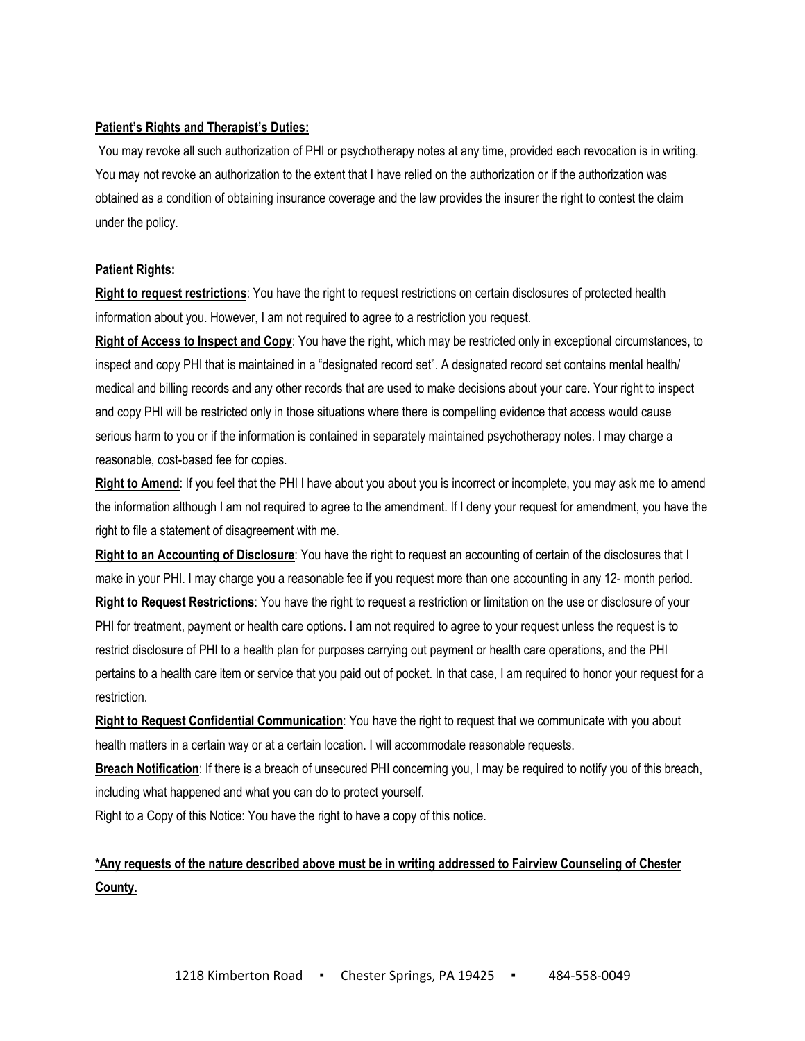#### **Patient's Rights and Therapist's Duties:**

You may revoke all such authorization of PHI or psychotherapy notes at any time, provided each revocation is in writing. You may not revoke an authorization to the extent that I have relied on the authorization or if the authorization was obtained as a condition of obtaining insurance coverage and the law provides the insurer the right to contest the claim under the policy.

#### **Patient Rights:**

**Right to request restrictions**: You have the right to request restrictions on certain disclosures of protected health information about you. However, I am not required to agree to a restriction you request.

**Right of Access to Inspect and Copy**: You have the right, which may be restricted only in exceptional circumstances, to inspect and copy PHI that is maintained in a "designated record set". A designated record set contains mental health/ medical and billing records and any other records that are used to make decisions about your care. Your right to inspect and copy PHI will be restricted only in those situations where there is compelling evidence that access would cause serious harm to you or if the information is contained in separately maintained psychotherapy notes. I may charge a reasonable, cost-based fee for copies.

**Right to Amend**: If you feel that the PHI I have about you about you is incorrect or incomplete, you may ask me to amend the information although I am not required to agree to the amendment. If I deny your request for amendment, you have the right to file a statement of disagreement with me.

**Right to an Accounting of Disclosure**: You have the right to request an accounting of certain of the disclosures that I make in your PHI. I may charge you a reasonable fee if you request more than one accounting in any 12- month period. **Right to Request Restrictions**: You have the right to request a restriction or limitation on the use or disclosure of your PHI for treatment, payment or health care options. I am not required to agree to your request unless the request is to restrict disclosure of PHI to a health plan for purposes carrying out payment or health care operations, and the PHI pertains to a health care item or service that you paid out of pocket. In that case, I am required to honor your request for a restriction.

**Right to Request Confidential Communication**: You have the right to request that we communicate with you about health matters in a certain way or at a certain location. I will accommodate reasonable requests.

**Breach Notification**: If there is a breach of unsecured PHI concerning you, I may be required to notify you of this breach, including what happened and what you can do to protect yourself.

Right to a Copy of this Notice: You have the right to have a copy of this notice.

# **\*Any requests of the nature described above must be in writing addressed to Fairview Counseling of Chester County.**